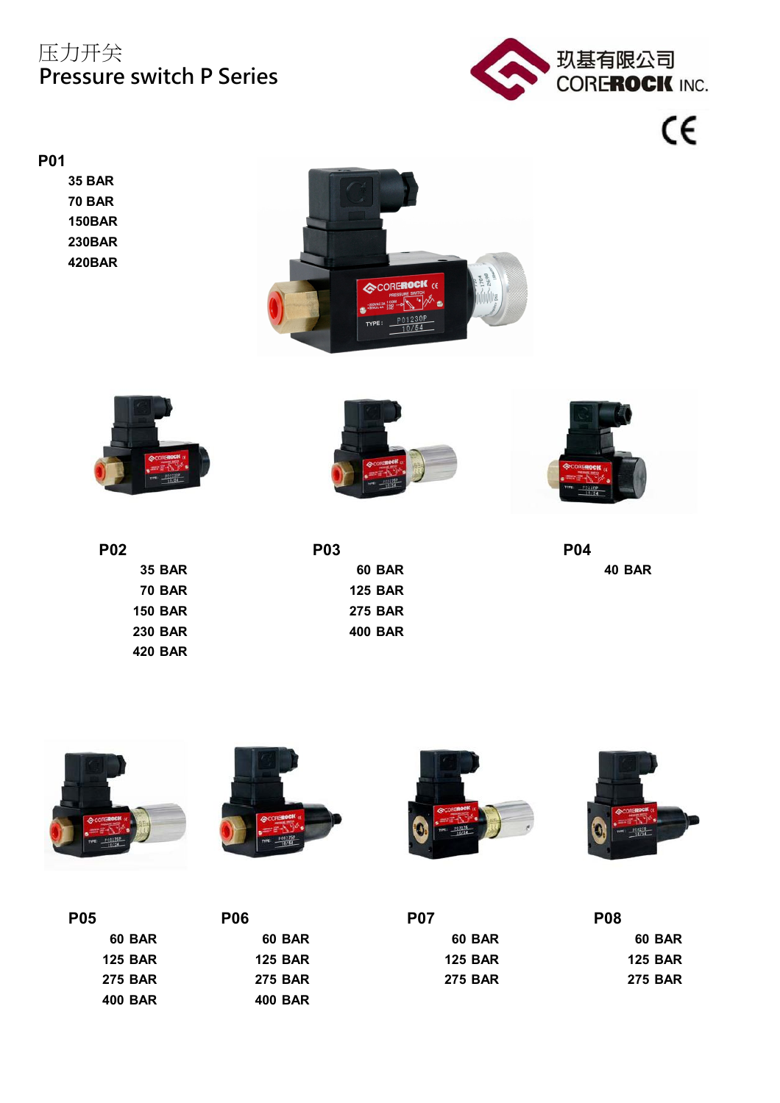# 压力开关 **Pressure switch P Series**



 $\epsilon$ 

#### **P01**

**35 BAR 70 BAR 150BAR 230BAR 420BAR**







 **BAR 125 BAR BAR 275 BAR BAR 400 BAR 420 BAR**

| <b>P04</b> | <b>P03</b>                  | P02            |
|------------|-----------------------------|----------------|
| 40 BAR     | <b>60 BAR</b>               | <b>35 BAR</b>  |
|            | <b>125 BAR</b>              | <b>70 BAR</b>  |
|            | <b>275 BAR</b>              | <b>150 BAR</b> |
|            | $\sim$ $\sim$ $\sim$ $\sim$ |                |



| <b>P05</b>     | <b>P06</b>     | <b>P07</b>     | <b>P08</b>     |
|----------------|----------------|----------------|----------------|
| <b>60 BAR</b>  | <b>60 BAR</b>  | <b>60 BAR</b>  | <b>60 BAR</b>  |
| <b>125 BAR</b> | <b>125 BAR</b> | <b>125 BAR</b> | <b>125 BAR</b> |
| <b>275 BAR</b> | <b>275 BAR</b> | <b>275 BAR</b> | <b>275 BAR</b> |
| <b>400 BAR</b> | <b>400 BAR</b> |                |                |